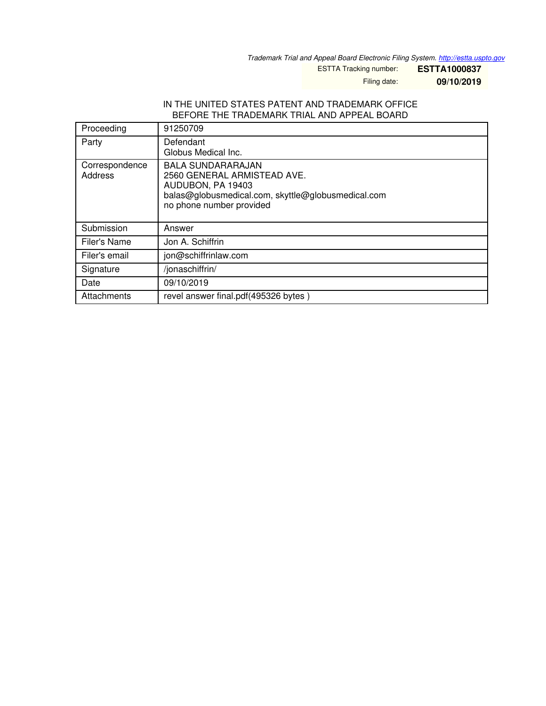*Trademark Trial and Appeal Board Electronic Filing System. <http://estta.uspto.gov>*

ESTTA Tracking number: **ESTTA1000837**

Filing date: **09/10/2019**

## IN THE UNITED STATES PATENT AND TRADEMARK OFFICE BEFORE THE TRADEMARK TRIAL AND APPEAL BOARD

| Proceeding                | 91250709                                                                                                                                                       |
|---------------------------|----------------------------------------------------------------------------------------------------------------------------------------------------------------|
| Party                     | Defendant<br>Globus Medical Inc.                                                                                                                               |
| Correspondence<br>Address | <b>BALA SUNDARARAJAN</b><br>2560 GENERAL ARMISTEAD AVE.<br>AUDUBON, PA 19403<br>balas@globusmedical.com, skyttle@globusmedical.com<br>no phone number provided |
| Submission                | Answer                                                                                                                                                         |
| Filer's Name              | Jon A. Schiffrin                                                                                                                                               |
| Filer's email             | jon@schiffrinlaw.com                                                                                                                                           |
| Signature                 | /jonaschiffrin/                                                                                                                                                |
| Date                      | 09/10/2019                                                                                                                                                     |
| Attachments               | revel answer final.pdf(495326 bytes)                                                                                                                           |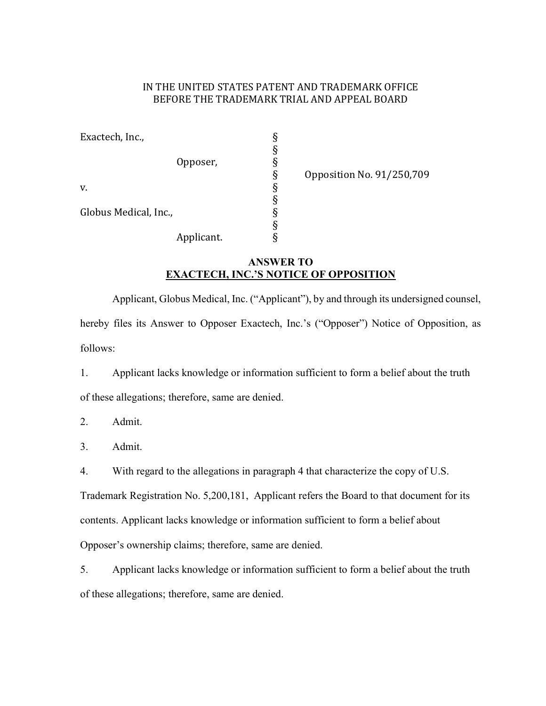## IN THE UNITED STATES PATENT AND TRADEMARK OFFICE BEFORE THE TRADEMARK TRIAL AND APPEAL BOARD

| Exactech, Inc.,       |            |   |
|-----------------------|------------|---|
|                       |            | ş |
|                       | Opposer,   |   |
|                       |            | ş |
| v.                    |            | ş |
|                       |            | ş |
| Globus Medical, Inc., |            | ş |
|                       |            | ş |
|                       | Applicant. |   |

§<br>§<br>§<br>§<br>§<br>§<br>§<br>§<br>§<br>§

## ANSWER TO EXACTECH, INC.'S NOTICE OF OPPOSITION

Applicant, Globus Medical, Inc. ("Applicant"), by and through its undersigned counsel, hereby files its Answer to Opposer Exactech, Inc.'s ("Opposer") Notice of Opposition, as follows:

1. Applicant lacks knowledge or information sufficient to form a belief about the truth of these allegations; therefore, same are denied.

2. Admit.

3. Admit.

4. With regard to the allegations in paragraph 4 that characterize the copy of U.S.

Trademark Registration No. 5,200,181, Applicant refers the Board to that document for its contents. Applicant lacks knowledge or information sufficient to form a belief about Opposer's ownership claims; therefore, same are denied.

5. Applicant lacks knowledge or information sufficient to form a belief about the truth of these allegations; therefore, same are denied.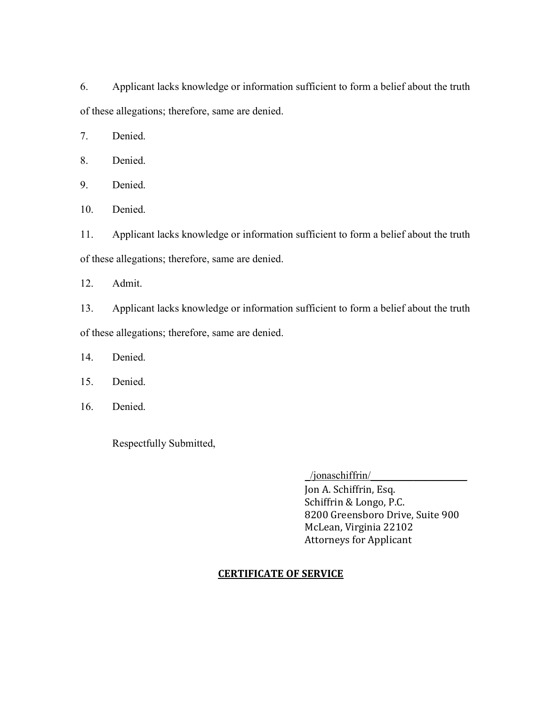6. Applicant lacks knowledge or information sufficient to form a belief about the truth of these allegations; therefore, same are denied.

7. Denied.

8. Denied.

9. Denied.

10. Denied.

11. Applicant lacks knowledge or information sufficient to form a belief about the truth of these allegations; therefore, same are denied.

12. Admit.

13. Applicant lacks knowledge or information sufficient to form a belief about the truth of these allegations; therefore, same are denied.

14. Denied.

15. Denied.

16. Denied.

Respectfully Submitted,

\_/jonaschiffrin/\_\_\_\_\_\_\_\_\_\_\_\_\_\_\_\_\_\_

 Jon A. Schiffrin, Esq. Schiffrin & Longo, P.C. 8200 Greensboro Drive, Suite 900 McLean, Virginia 22102 Attorneys for Applicant

## CERTIFICATE OF SERVICE